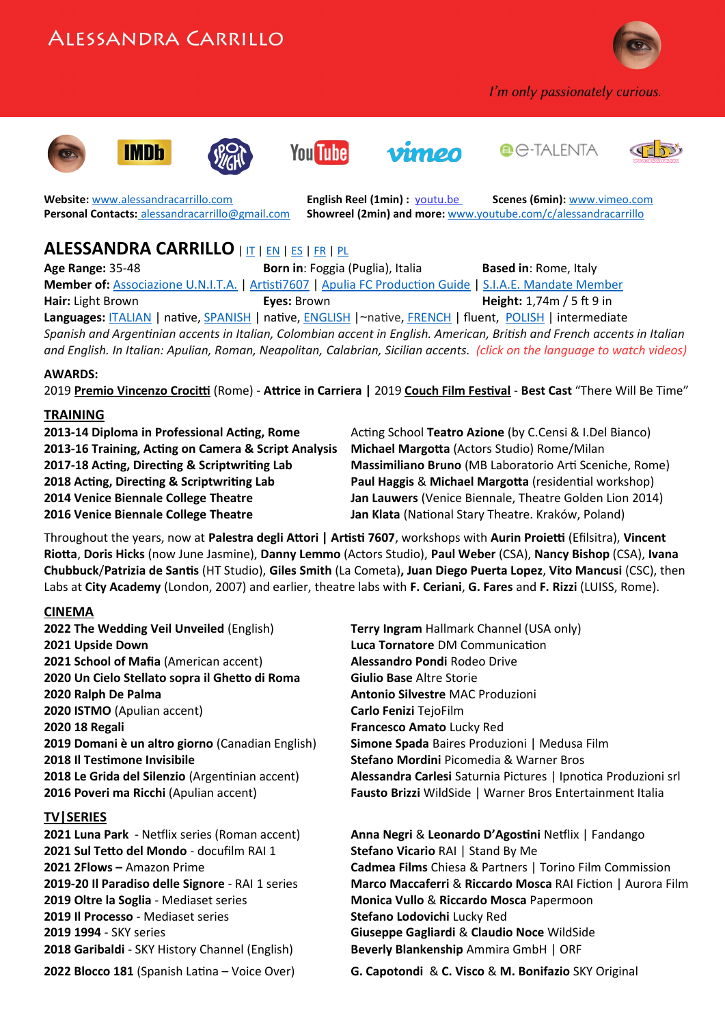# AIFSSANDRA CARRILLO



I'm only passionately curious.













**Website:** [www.alessandracarrillo.com](http://www.alessandracarrillo.com/) **English Reel (1min) :** [youtu.be](https://youtu.be/jdNkFoU2LaY) **Scenes (6min):** [www.vimeo.com](https://vimeo.com/660118119/1e07b6ce3a) **Personal Contacts:** [alessandracarrillo@gmail.com](mailto:alessandracarrillo@gmail.com) **Showreel (2min) and more:** [www.youtube.com/c/alessandracarrillo](http://www.youtube.com/c/alessandracarrillo)

### **ALESSANDRA CARRILLO** | [IT](https://www.alessandracarrillo.com/) | [EN](https://www.alessandracarrillo.com/english.html) | [ES](https://www.alessandracarrillo.com/espanol.html) | [FR](https://www.alessandracarrillo.com/francais.html) | [PL](https://www.alessandracarrillo.com/polski.html)

**Age Range:** 35-48 **Born in**: Foggia (Puglia), Italia **Based in**: Rome, Italy **Member of:** [Associazione U.N.I.T.A.](https://www.associazioneunita.it/) | [Artisti7607](https://www.artisti7607.com/) | [Apulia FC Production Guide](https://pg.apuliafilmcommission.it/professionisti/alessandra-carrillo/) | [S.I.A.E. Mandate Member](https://www.siae.it/) **Hair:** Light Brown **Eyes:** Brown **Height:** 1,74m / 5 ft 9 in **Languages:** [ITALIAN](https://www.alessandracarrillo.com/reel.html) | native, [SPANISH](https://www.alessandracarrillo.com/espanol.html) | native, [ENGLISH](https://www.alessandracarrillo.com/english.html) |~native, [FRENCH](https://www.alessandracarrillo.com/francais.html) | fluent, [POLISH](https://www.alessandracarrillo.com/polski.html) | intermediate *Spanish and Argentinian accents in Italian, Colombian accent in English. American, British and French accents in Italian and English. In Italian: Apulian, Roman, Neapolitan, Calabrian, Sicilian accents. (click on the language to watch videos)*

### **AWARDS:**

2019 **Premio Vincenzo Crocitti** (Rome) - **Attrice in Carriera |** 2019 **Couch Film Festival** - **Best Cast** "There Will Be Time"

### **TRAINING**

**2013-16 Training, Acting on Camera & Script Analysis Michael Margotta** (Actors Studio) Rome/Milan **2016 Venice Biennale College Theatre Jan Klata** (National Stary Theatre. Kraków, Poland)

**2013-14 Diploma in Professional Acting, Rome** Acting School **Teatro Azione** (by C.Censi & I.Del Bianco) **2017-18 Acting, Directing & Scriptwriting Lab Massimiliano Bruno** (MB Laboratorio Arti Sceniche, Rome) **2018 Acting, Directing & Scriptwriting Lab Paul Haggis** & **Michael Margotta** (residential workshop) **2014 Venice Biennale College Theatre Jan Lauwers** (Venice Biennale, Theatre Golden Lion 2014)

Throughout the years, now at **[Palestra degli Attori | Artisti 7607](https://www.artisti7607.com/palestra-7607-classe-2019-20-torna-la-palestra-per-gli-attori-di-artisti-7607/)**, workshops with **Aurin Proietti** (Efilsitra), **Vincent Riotta**, **Doris Hicks** (now June Jasmine), **Danny Lemmo** (Actors Studio), **Paul Weber** (CSA), **Nancy Bishop** (CSA), **Ivana Chubbuck**/**Patrizia de Santis** (HT Studio), **Giles Smith** (La Cometa)**, Juan Diego Puerta Lopez**, **Vito Mancusi** (CSC), then Labs at **City Academy** (London, 2007) and earlier, theatre labs with **F. Ceriani**, **G. Fares** and **F. Rizzi** (LUISS, Rome).

### **CINEMA**

**2022 The Wedding Veil Unveiled** (English) **Terry Ingram** Hallmark Channel (USA only) **2021 Upside Down Luca Tornatore** DM Communication **2021 School of Mafia** (American accent) **Alessandro Pondi** Rodeo Drive **2020 Un Cielo Stellato sopra il Ghetto di Roma Giulio Base** Altre Storie **2020 Ralph De Palma Antonio Silvestre** MAC Produzioni **2020 ISTMO** (Apulian accent) **Carlo Fenizi** TejoFilm **2020 18 Regali Francesco Amato** Lucky Red **2019 Domani è un altro giorno** (Canadian English) **Simone Spada** Baires Produzioni | Medusa Film **2018 Il Testimone Invisibile Stefano Mordini** Picomedia & Warner Bros

### **TV|SERIES**

**2021 Sul Tetto del Mondo** - docufilm RAI 1 **Stefano Vicario** RAI | Stand By Me **2019 Oltre la Soglia** - Mediaset series **Monica Vullo** & **Riccardo Mosca** Papermoon **2019 Il Processo** - Mediaset series **Stefano Lodovichi** Lucky Red **2019 1994** - SKY series **Giuseppe Gagliardi** & **Claudio Noce** WildSide **2018 Garibaldi** - SKY History Channel (English) **Beverly Blankenship** Ammira GmbH | ORF

**2018 Le Grida del Silenzio** (Argentinian accent) **Alessandra Carlesi** Saturnia Pictures | Ipnotica Produzioni srl **2016 Poveri ma Ricchi** (Apulian accent) **Fausto Brizzi** WildSide | Warner Bros Entertainment Italia

**2021 Luna Park** - Netflix series (Roman accent) **Anna Negri** & **Leonardo D'Agostini** Netflix | Fandango **2021 2Flows –** Amazon Prime **Cadmea Films** Chiesa & Partners | Torino Film Commission **2019-20 Il Paradiso delle Signore** - RAI 1 series **Marco Maccaferri** & **Riccardo Mosca** RAI Fiction | Aurora Film

**2022 Blocco 181** (Spanish Latina – Voice Over) **G. Capotondi** & **C. Visco** & **M. Bonifazio** SKY Original